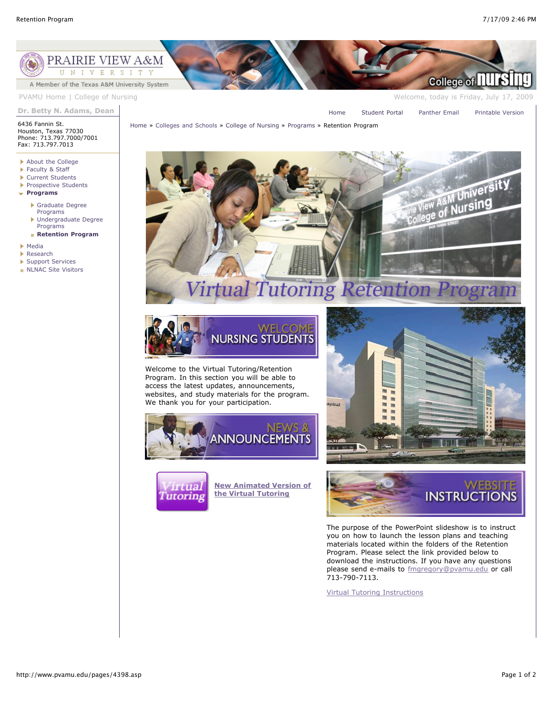

[Home](http://www.pvamu.edu/pages/1.asp) » [Colleges and Schools](http://www.pvamu.edu/pages/128.asp) » [College of Nursing](http://www.pvamu.edu/pages/290.asp) » [Programs](http://www.pvamu.edu/pages/1011.asp) » Retention Program

**Dr. Betty N. Adams, Dean**

[Home](http://www.pvamu.edu/pages/1.asp) [Student Portal](http://panthertracks.pvamu.edu/) [Panther Email](http://www.pvamu.edu/pages/1740.asp) [Printable Version](http://www.pvamu.edu/print/4398.asp)

6436 Fannin St. Houston, Texas 77030 Phone: 713.797.7000/7001

- Fax: 713.797.7013
- ▶ [About the College](http://www.pvamu.edu/pages/1001.asp) ▶ [Faculty & Staff](http://www.pvamu.edu/pages/789.asp)
- ▶ [Current Students](http://www.pvamu.edu/pages/1021.asp)
- [Prospective Students](http://www.pvamu.edu/pages/1029.asp)
- **[Programs](http://www.pvamu.edu/pages/1011.asp)**
- - [Graduate Degree](http://www.pvamu.edu/pages/1012.asp) Programs K
	- [Undergraduate Degree](http://www.pvamu.edu/pages/1016.asp) Programs **[Retention Program](http://www.pvamu.edu/pages/4398.asp)**
	-
- [Media](http://www.pvamu.edu/pages/4791.asp)
- [Research](http://www.pvamu.edu/pages/4612.asp)
- ▶ [Support Services](http://www.pvamu.edu/pages/4613.asp)
- **[NLNAC Site Visitors](http://www.pvamu.edu/pages/4969.asp)**





Welcome to the Virtual Tutoring/Retention Program. In this section you will be able to access the latest updates, announcements, websites, and study materials for the program. We thank you for your participation.





**[New Animated Version of](http://www.klearvisions.com/pvamu/testflash/index.html) the Virtual Tutoring**





The purpose of the PowerPoint slideshow is to instruct you on how to launch the lesson plans and teaching materials located within the folders of the Retention Program. Please select the link provided below to download the instructions. If you have any questions please send e-mails to **[fmgregory@pvamu.edu](mailto:fmgregory@pvamu.edu)** or call 713-790-7113.

[Virtual Tutoring Instructions](http://www.pvamu.edu/Include/nursing/Virtual%20Tutoring%20instructions.ppt)